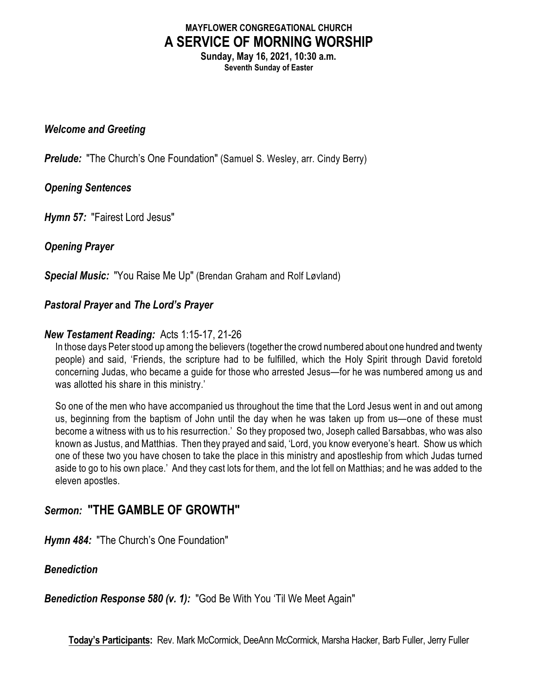# **MAYFLOWER CONGREGATIONAL CHURCH A SERVICE OF MORNING WORSHIP**

**Sunday, May 16, 2021, 10:30 a.m. Seventh Sunday of Easter**

#### *Welcome and Greeting*

**Prelude:** "The Church's One Foundation" (Samuel S. Wesley, arr. Cindy Berry)

# *Opening Sentences*

*Hymn 57:* "Fairest Lord Jesus"

# *Opening Prayer*

*Special Music:* "You Raise Me Up" (Brendan Graham and Rolf Løvland)

#### *Pastoral Prayer* **and** *The Lord's Prayer*

#### *New Testament Reading:* Acts 1:15-17, 21-26

In those days Peter stood up among the believers (together the crowd numbered about one hundred and twenty people) and said, 'Friends, the scripture had to be fulfilled, which the Holy Spirit through David foretold concerning Judas, who became a guide for those who arrested Jesus—for he was numbered among us and was allotted his share in this ministry.'

So one of the men who have accompanied us throughout the time that the Lord Jesus went in and out among us, beginning from the baptism of John until the day when he was taken up from us—one of these must become a witness with us to his resurrection.' So they proposed two, Joseph called Barsabbas, who was also known as Justus, and Matthias. Then they prayed and said, 'Lord, you know everyone's heart. Show us which one of these two you have chosen to take the place in this ministry and apostleship from which Judas turned aside to go to his own place.' And they cast lots for them, and the lot fell on Matthias; and he was added to the eleven apostles.

# *Sermon:* **"THE GAMBLE OF GROWTH"**

*Hymn 484:* "The Church's One Foundation"

# *Benediction*

*Benediction Response 580 (v. 1):* "God Be With You 'Til We Meet Again"

**Today's Participants:** Rev. Mark McCormick, DeeAnn McCormick, Marsha Hacker, Barb Fuller, Jerry Fuller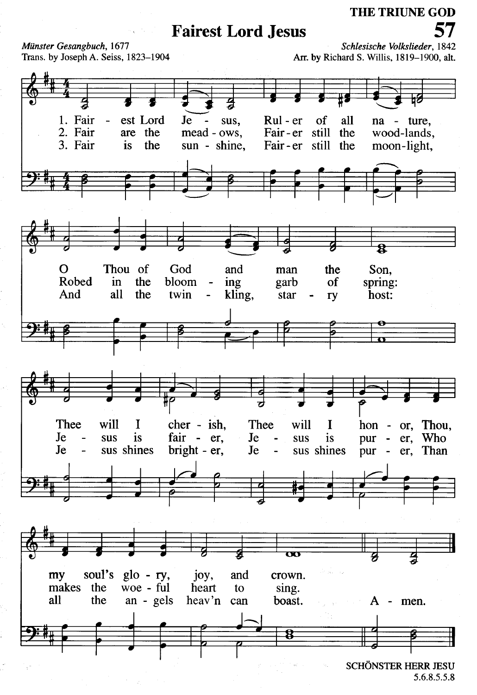# **Fairest Lord Jesus**

THE TRIUNE GOD

Münster Gesangbuch, 1677 Trans. by Joseph A. Seiss, 1823-1904

Schlesische Volkslieder, 1842 Arr. by Richard S. Willis, 1819-1900, alt.



5.6.8.5.5.8